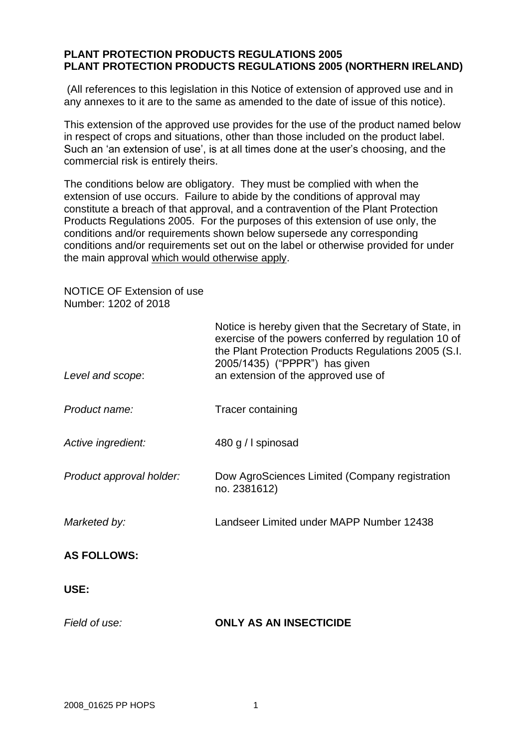## **PLANT PROTECTION PRODUCTS REGULATIONS 2005 PLANT PROTECTION PRODUCTS REGULATIONS 2005 (NORTHERN IRELAND)**

(All references to this legislation in this Notice of extension of approved use and in any annexes to it are to the same as amended to the date of issue of this notice).

This extension of the approved use provides for the use of the product named below in respect of crops and situations, other than those included on the product label. Such an 'an extension of use', is at all times done at the user's choosing, and the commercial risk is entirely theirs.

The conditions below are obligatory. They must be complied with when the extension of use occurs. Failure to abide by the conditions of approval may constitute a breach of that approval, and a contravention of the Plant Protection Products Regulations 2005. For the purposes of this extension of use only, the conditions and/or requirements shown below supersede any corresponding conditions and/or requirements set out on the label or otherwise provided for under the main approval which would otherwise apply.

NOTICE OF Extension of use Number: 1202 of 2018

| Level and scope:         | Notice is hereby given that the Secretary of State, in<br>exercise of the powers conferred by regulation 10 of<br>the Plant Protection Products Regulations 2005 (S.I.<br>2005/1435) ("PPPR") has given<br>an extension of the approved use of |
|--------------------------|------------------------------------------------------------------------------------------------------------------------------------------------------------------------------------------------------------------------------------------------|
| Product name:            | Tracer containing                                                                                                                                                                                                                              |
| Active ingredient:       | 480 g / I spinosad                                                                                                                                                                                                                             |
| Product approval holder: | Dow AgroSciences Limited (Company registration<br>no. 2381612)                                                                                                                                                                                 |
| Marketed by:             | Landseer Limited under MAPP Number 12438                                                                                                                                                                                                       |
| <b>AS FOLLOWS:</b>       |                                                                                                                                                                                                                                                |
| USE:                     |                                                                                                                                                                                                                                                |
| Field of use:            | <b>ONLY AS AN INSECTICIDE</b>                                                                                                                                                                                                                  |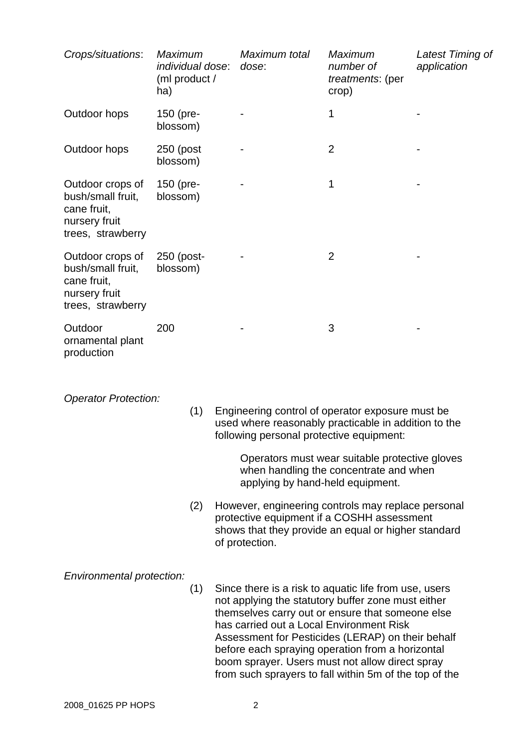| Crops/situations:                                                                          | <b>Maximum</b><br>individual dose:<br>(ml product /<br>ha) | Maximum total<br>dose: | <b>Maximum</b><br>number of<br>treatments: (per<br>crop) | Latest Timing of<br>application |
|--------------------------------------------------------------------------------------------|------------------------------------------------------------|------------------------|----------------------------------------------------------|---------------------------------|
| Outdoor hops                                                                               | $150$ (pre-<br>blossom)                                    |                        | 1                                                        |                                 |
| Outdoor hops                                                                               | 250 (post<br>blossom)                                      |                        | $\overline{2}$                                           |                                 |
| Outdoor crops of<br>bush/small fruit,<br>cane fruit,<br>nursery fruit<br>trees, strawberry | $150$ (pre-<br>blossom)                                    |                        | 1                                                        |                                 |
| Outdoor crops of<br>bush/small fruit,<br>cane fruit,<br>nursery fruit<br>trees, strawberry | 250 (post-<br>blossom)                                     |                        | $\overline{2}$                                           |                                 |
| Outdoor<br>ornamental plant<br>production                                                  | 200                                                        |                        | 3                                                        |                                 |

*Operator Protection:*

(1) Engineering control of operator exposure must be used where reasonably practicable in addition to the following personal protective equipment:

> Operators must wear suitable protective gloves when handling the concentrate and when applying by hand-held equipment.

(2) However, engineering controls may replace personal protective equipment if a COSHH assessment shows that they provide an equal or higher standard of protection.

*Environmental protection:*

(1) Since there is a risk to aquatic life from use, users not applying the statutory buffer zone must either themselves carry out or ensure that someone else has carried out a Local Environment Risk Assessment for Pesticides (LERAP) on their behalf before each spraying operation from a horizontal boom sprayer. Users must not allow direct spray from such sprayers to fall within 5m of the top of the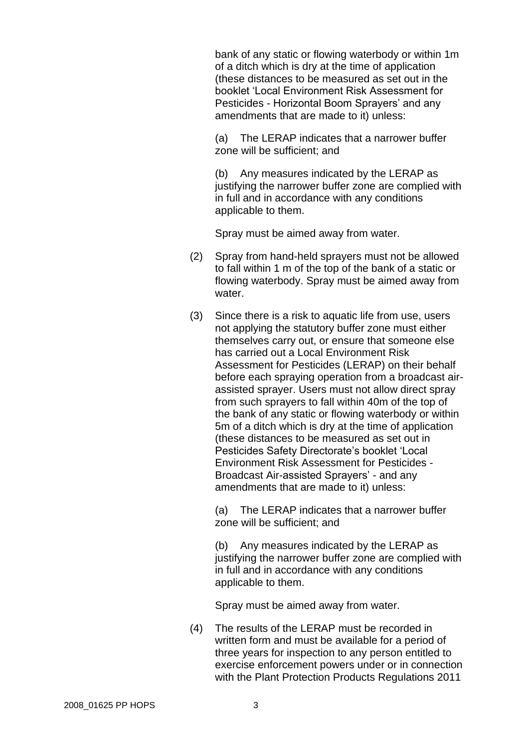bank of any static or flowing waterbody or within 1m of a ditch which is dry at the time of application (these distances to be measured as set out in the booklet 'Local Environment Risk Assessment for Pesticides - Horizontal Boom Sprayers' and any amendments that are made to it) unless:

(a) The LERAP indicates that a narrower buffer zone will be sufficient; and

(b) Any measures indicated by the LERAP as justifying the narrower buffer zone are complied with in full and in accordance with any conditions applicable to them.

Spray must be aimed away from water.

- (2) Spray from hand-held sprayers must not be allowed to fall within 1 m of the top of the bank of a static or flowing waterbody. Spray must be aimed away from water.
- (3) Since there is a risk to aquatic life from use, users not applying the statutory buffer zone must either themselves carry out, or ensure that someone else has carried out a Local Environment Risk Assessment for Pesticides (LERAP) on their behalf before each spraying operation from a broadcast airassisted sprayer. Users must not allow direct spray from such sprayers to fall within 40m of the top of the bank of any static or flowing waterbody or within 5m of a ditch which is dry at the time of application (these distances to be measured as set out in Pesticides Safety Directorate's booklet 'Local Environment Risk Assessment for Pesticides - Broadcast Air-assisted Sprayers' - and any amendments that are made to it) unless:

(a) The LERAP indicates that a narrower buffer zone will be sufficient; and

(b) Any measures indicated by the LERAP as justifying the narrower buffer zone are complied with in full and in accordance with any conditions applicable to them.

Spray must be aimed away from water.

(4) The results of the LERAP must be recorded in written form and must be available for a period of three years for inspection to any person entitled to exercise enforcement powers under or in connection with the Plant Protection Products Regulations 2011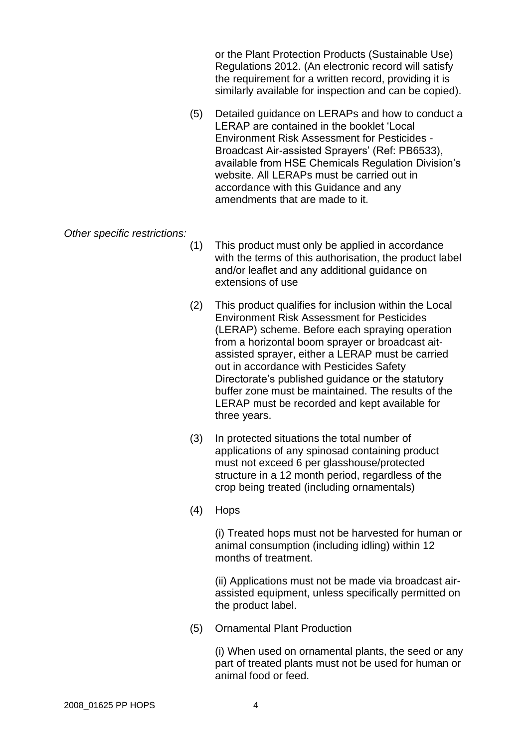or the Plant Protection Products (Sustainable Use) Regulations 2012. (An electronic record will satisfy the requirement for a written record, providing it is similarly available for inspection and can be copied).

(5) Detailed guidance on LERAPs and how to conduct a LERAP are contained in the booklet 'Local Environment Risk Assessment for Pesticides - Broadcast Air-assisted Sprayers' (Ref: PB6533), available from HSE Chemicals Regulation Division's website. All LERAPs must be carried out in accordance with this Guidance and any amendments that are made to it.

*Other specific restrictions:*

- (1) This product must only be applied in accordance with the terms of this authorisation, the product label and/or leaflet and any additional guidance on extensions of use
- (2) This product qualifies for inclusion within the Local Environment Risk Assessment for Pesticides (LERAP) scheme. Before each spraying operation from a horizontal boom sprayer or broadcast aitassisted sprayer, either a LERAP must be carried out in accordance with Pesticides Safety Directorate's published guidance or the statutory buffer zone must be maintained. The results of the LERAP must be recorded and kept available for three years.
- (3) In protected situations the total number of applications of any spinosad containing product must not exceed 6 per glasshouse/protected structure in a 12 month period, regardless of the crop being treated (including ornamentals)
- (4) Hops

(i) Treated hops must not be harvested for human or animal consumption (including idling) within 12 months of treatment.

(ii) Applications must not be made via broadcast airassisted equipment, unless specifically permitted on the product label.

(5) Ornamental Plant Production

(i) When used on ornamental plants, the seed or any part of treated plants must not be used for human or animal food or feed.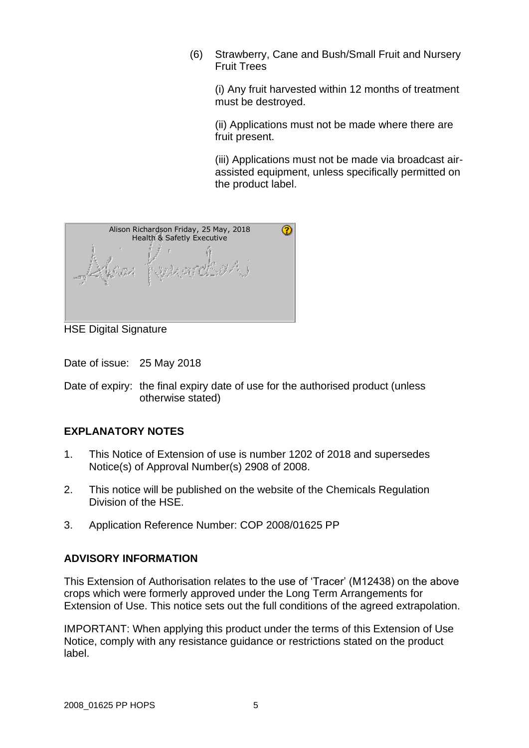(6) Strawberry, Cane and Bush/Small Fruit and Nursery Fruit Trees

(i) Any fruit harvested within 12 months of treatment must be destroyed.

(ii) Applications must not be made where there are fruit present.

(iii) Applications must not be made via broadcast airassisted equipment, unless specifically permitted on the product label.



HSE Digital Signature

Date of issue: 25 May 2018

Date of expiry: the final expiry date of use for the authorised product (unless otherwise stated)

## **EXPLANATORY NOTES**

- 1. This Notice of Extension of use is number 1202 of 2018 and supersedes Notice(s) of Approval Number(s) 2908 of 2008.
- 2. This notice will be published on the website of the Chemicals Regulation Division of the HSE.
- 3. Application Reference Number: COP 2008/01625 PP

## **ADVISORY INFORMATION**

This Extension of Authorisation relates to the use of 'Tracer' (M12438) on the above crops which were formerly approved under the Long Term Arrangements for Extension of Use. This notice sets out the full conditions of the agreed extrapolation.

IMPORTANT: When applying this product under the terms of this Extension of Use Notice, comply with any resistance guidance or restrictions stated on the product label.